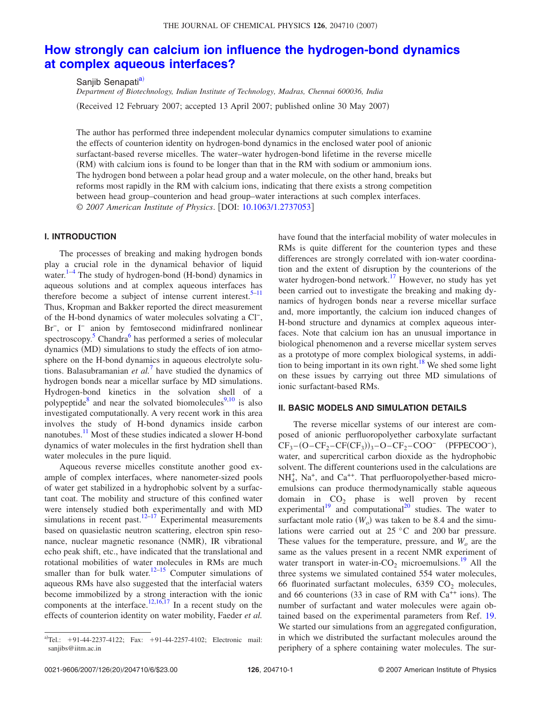# **How strongly can calcium ion influence the hydrogen-bond dynamics at complex aqueous interfaces?**

Sanjib Senapati<sup>a)</sup>

*Department of Biotechnology, Indian Institute of Technology, Madras, Chennai 600036, India* (Received 12 February 2007; accepted 13 April 2007; published online 30 May 2007)

The author has performed three independent molecular dynamics computer simulations to examine the effects of counterion identity on hydrogen-bond dynamics in the enclosed water pool of anionic surfactant-based reverse micelles. The water–water hydrogen-bond lifetime in the reverse micelle (RM) with calcium ions is found to be longer than that in the RM with sodium or ammonium ions. The hydrogen bond between a polar head group and a water molecule, on the other hand, breaks but reforms most rapidly in the RM with calcium ions, indicating that there exists a strong competition between head group–counterion and head group–water interactions at such complex interfaces. © *2007 American Institute of Physics*. DOI: 10.1063/1.2737053

#### **I. INTRODUCTION**

The processes of breaking and making hydrogen bonds play a crucial role in the dynamical behavior of liquid water. $1-4$  The study of hydrogen-bond (H-bond) dynamics in aqueous solutions and at complex aqueous interfaces has therefore become a subject of intense current interest.<sup>5–11</sup> Thus, Kropman and Bakker reported the direct measurement of the H-bond dynamics of water molecules solvating a Cl<sup>-</sup>, Br<sup>-</sup>, or I<sup>-</sup> anion by femtosecond midinfrared nonlinear spectroscopy.<sup>5</sup> Chandra<sup>6</sup> has performed a series of molecular dynamics (MD) simulations to study the effects of ion atmosphere on the H-bond dynamics in aqueous electrolyte solutions. Balasubramanian *et al.*<sup>7</sup> have studied the dynamics of hydrogen bonds near a micellar surface by MD simulations. Hydrogen-bond kinetics in the solvation shell of a polypeptide<sup>8</sup> and near the solvated biomolecules<sup>9,10</sup> is also investigated computationally. A very recent work in this area involves the study of H-bond dynamics inside carbon nanotubes.<sup>11</sup> Most of these studies indicated a slower H-bond dynamics of water molecules in the first hydration shell than water molecules in the pure liquid.

Aqueous reverse micelles constitute another good example of complex interfaces, where nanometer-sized pools of water get stabilized in a hydrophobic solvent by a surfactant coat. The mobility and structure of this confined water were intensely studied both experimentally and with MD simulations in recent past.<sup>12–17</sup> Experimental measurements based on quasielastic neutron scattering, electron spin resonance, nuclear magnetic resonance (NMR), IR vibrational echo peak shift, etc., have indicated that the translational and rotational mobilities of water molecules in RMs are much smaller than for bulk water.<sup>12–15</sup> Computer simulations of aqueous RMs have also suggested that the interfacial waters become immobilized by a strong interaction with the ionic components at the interface.<sup>12,16,17</sup> In a recent study on the effects of counterion identity on water mobility, Faeder *et al.*

have found that the interfacial mobility of water molecules in RMs is quite different for the counterion types and these differences are strongly correlated with ion-water coordination and the extent of disruption by the counterions of the water hydrogen-bond network.<sup>17</sup> However, no study has yet been carried out to investigate the breaking and making dynamics of hydrogen bonds near a reverse micellar surface and, more importantly, the calcium ion induced changes of H-bond structure and dynamics at complex aqueous interfaces. Note that calcium ion has an unusual importance in biological phenomenon and a reverse micellar system serves as a prototype of more complex biological systems, in addition to being important in its own right.<sup>18</sup> We shed some light on these issues by carrying out three MD simulations of ionic surfactant-based RMs.

## **II. BASIC MODELS AND SIMULATION DETAILS**

The reverse micellar systems of our interest are composed of anionic perfluoropolyether carboxylate surfactant  $CF_3 - (O - CF_2 - CF(CF_3))_3 - O - CF_2 - COO^-$  (PFPECOO<sup>-</sup>), water, and supercritical carbon dioxide as the hydrophobic solvent. The different counterions used in the calculations are NH<sup>+</sup><sub>4</sub>, Na<sup>+</sup>, and Ca<sup>++</sup>. That perfluoropolyether-based microemulsions can produce thermodynamically stable aqueous domain in  $CO<sub>2</sub>$  phase is well proven by recent experimental<sup>19</sup> and computational<sup>20</sup> studies. The water to surfactant mole ratio  $(W_o)$  was taken to be 8.4 and the simulations were carried out at 25 °C and 200 bar pressure. These values for the temperature, pressure, and *W<sup>o</sup>* are the same as the values present in a recent NMR experiment of water transport in water-in- $CO<sub>2</sub>$  microemulsions.<sup>19</sup> All the three systems we simulated contained 554 water molecules, 66 fluorinated surfactant molecules,  $6359$  CO<sub>2</sub> molecules, and 66 counterions (33 in case of RM with  $Ca^{++}$  ions). The number of surfactant and water molecules were again obtained based on the experimental parameters from Ref. 19. We started our simulations from an aggregated configuration, in which we distributed the surfactant molecules around the periphery of a sphere containing water molecules. The sur-

a)Tel.:  $+91-44-2237-4122$ ; Fax:  $+91-44-2257-4102$ ; Electronic mail: sanjibs@iitm.ac.in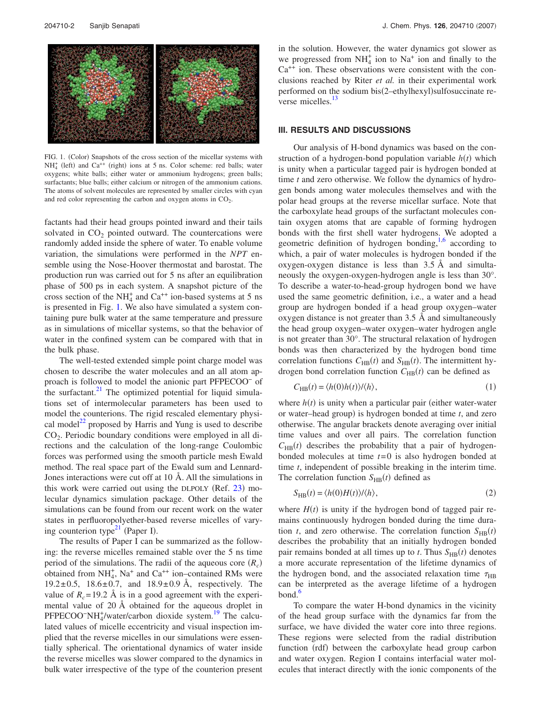

FIG. 1. (Color) Snapshots of the cross section of the micellar systems with  $NH<sub>4</sub><sup>+</sup>$  (left) and Ca<sup>++</sup> (right) ions at 5 ns. Color scheme: red balls; water oxygens; white balls; either water or ammonium hydrogens; green balls; surfactants; blue balls; either calcium or nitrogen of the ammonium cations. The atoms of solvent molecules are represented by smaller circles with cyan and red color representing the carbon and oxygen atoms in  $CO<sub>2</sub>$ .

factants had their head groups pointed inward and their tails solvated in  $CO<sub>2</sub>$  pointed outward. The countercations were randomly added inside the sphere of water. To enable volume variation, the simulations were performed in the *NPT* ensemble using the Nose-Hoover thermostat and barostat. The production run was carried out for 5 ns after an equilibration phase of 500 ps in each system. A snapshot picture of the cross section of the NH<sub>4</sub><sup>+</sup> and Ca<sup>++</sup> ion-based systems at 5 ns is presented in Fig. 1. We also have simulated a system containing pure bulk water at the same temperature and pressure as in simulations of micellar systems, so that the behavior of water in the confined system can be compared with that in the bulk phase.

The well-tested extended simple point charge model was chosen to describe the water molecules and an all atom approach is followed to model the anionic part PFPECOO<sup>−</sup> of the surfactant. $^{21}$  The optimized potential for liquid simulations set of intermolecular parameters has been used to model the counterions. The rigid rescaled elementary physical model $^{22}$  proposed by Harris and Yung is used to describe CO<sup>2</sup> . Periodic boundary conditions were employed in all directions and the calculation of the long-range Coulombic forces was performed using the smooth particle mesh Ewald method. The real space part of the Ewald sum and Lennard-Jones interactions were cut off at 10 Å. All the simulations in this work were carried out using the DLPOLY  $(Ref. 23)$  molecular dynamics simulation package. Other details of the simulations can be found from our recent work on the water states in perfluoropolyether-based reverse micelles of varying counterion type<sup>21</sup> (Paper I).

The results of Paper I can be summarized as the following: the reverse micelles remained stable over the 5 ns time period of the simulations. The radii of the aqueous core  $(R_c)$ obtained from  $NH_4^+$ ,  $Na^+$  and  $Ca^{++}$  ion–contained RMs were 19.2 $\pm$ 0.5, 18.6 $\pm$ 0.7, and 18.9 $\pm$ 0.9 Å, respectively. The value of  $R_c$ = 19.2 Å is in a good agreement with the experimental value of 20 Å obtained for the aqueous droplet in  $PFPECOO-NH<sub>4</sub><sup>+</sup>/water/carbon dioxide system.<sup>19</sup> The calcul$ lated values of micelle eccentricity and visual inspection implied that the reverse micelles in our simulations were essentially spherical. The orientational dynamics of water inside the reverse micelles was slower compared to the dynamics in bulk water irrespective of the type of the counterion present in the solution. However, the water dynamics got slower as we progressed from  $NH_4^+$  ion to  $Na^+$  ion and finally to the  $Ca^{++}$  ion. These observations were consistent with the conclusions reached by Riter *et al.* in their experimental work performed on the sodium bis(2-ethylhexyl)sulfosuccinate reverse micelles. $13$ 

#### **III. RESULTS AND DISCUSSIONS**

Our analysis of H-bond dynamics was based on the construction of a hydrogen-bond population variable  $h(t)$  which is unity when a particular tagged pair is hydrogen bonded at time *t* and zero otherwise. We follow the dynamics of hydrogen bonds among water molecules themselves and with the polar head groups at the reverse micellar surface. Note that the carboxylate head groups of the surfactant molecules contain oxygen atoms that are capable of forming hydrogen bonds with the first shell water hydrogens. We adopted a geometric definition of hydrogen bonding,<sup>1,6</sup> according to which, a pair of water molecules is hydrogen bonded if the oxygen-oxygen distance is less than 3.5 Å and simultaneously the oxygen-oxygen-hydrogen angle is less than 30°. To describe a water-to-head-group hydrogen bond we have used the same geometric definition, i.e., a water and a head group are hydrogen bonded if a head group oxygen–water oxygen distance is not greater than 3.5 Å and simultaneously the head group oxygen–water oxygen–water hydrogen angle is not greater than 30°. The structural relaxation of hydrogen bonds was then characterized by the hydrogen bond time correlation functions  $C_{HB}(t)$  and  $S_{HB}(t)$ . The intermittent hydrogen bond correlation function  $C_{HB}(t)$  can be defined as

$$
C_{\rm HB}(t) = \langle h(0)h(t) \rangle / \langle h \rangle, \tag{1}
$$

where  $h(t)$  is unity when a particular pair (either water-water or water-head group) is hydrogen bonded at time *t*, and zero otherwise. The angular brackets denote averaging over initial time values and over all pairs. The correlation function  $C_{\text{HB}}(t)$  describes the probability that a pair of hydrogenbonded molecules at time *t*= 0 is also hydrogen bonded at time *t*, independent of possible breaking in the interim time. The correlation function  $S_{HB}(t)$  defined as

$$
S_{\rm HB}(t) = \langle h(0)H(t) \rangle / \langle h \rangle, \tag{2}
$$

where  $H(t)$  is unity if the hydrogen bond of tagged pair remains continuously hydrogen bonded during the time duration *t*, and zero otherwise. The correlation function  $S_{HB}(t)$ describes the probability that an initially hydrogen bonded pair remains bonded at all times up to *t*. Thus  $S_{HB}(t)$  denotes a more accurate representation of the lifetime dynamics of the hydrogen bond, and the associated relaxation time  $\tau_{\rm HB}$ can be interpreted as the average lifetime of a hydrogen bond.<sup>6</sup>

To compare the water H-bond dynamics in the vicinity of the head group surface with the dynamics far from the surface, we have divided the water core into three regions. These regions were selected from the radial distribution function (rdf) between the carboxylate head group carbon and water oxygen. Region I contains interfacial water molecules that interact directly with the ionic components of the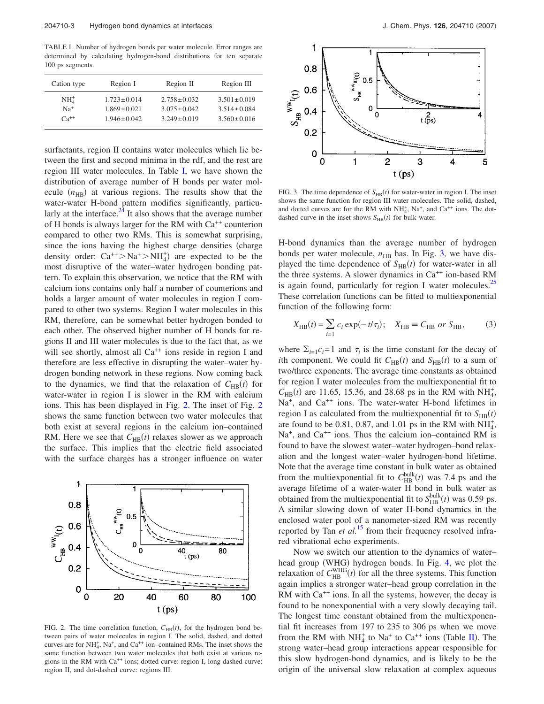TABLE I. Number of hydrogen bonds per water molecule. Error ranges are determined by calculating hydrogen-bond distributions for ten separate 100 ps segments.

| Cation type | Region I          | Region II         | Region III        |  |
|-------------|-------------------|-------------------|-------------------|--|
| $NH4+$      | $1.723 \pm 0.014$ | $2.758 \pm 0.032$ | $3.501 \pm 0.019$ |  |
| $Na+$       | $1.869 \pm 0.021$ | $3.075 \pm 0.042$ | $3.514 \pm 0.084$ |  |
| $Ca^{++}$   | $1.946 \pm 0.042$ | $3.249 \pm 0.019$ | $3.560 \pm 0.016$ |  |

surfactants, region II contains water molecules which lie between the first and second minima in the rdf, and the rest are region III water molecules. In Table I, we have shown the distribution of average number of H bonds per water molecule  $(n_{HB})$  at various regions. The results show that the water-water H-bond pattern modifies significantly, particularly at the interface. $^{24}$  It also shows that the average number of H bonds is always larger for the RM with  $Ca<sup>++</sup>$  counterion compared to other two RMs. This is somewhat surprising, since the ions having the highest charge densities (charge density order:  $Ca^{++} > Na^{+} > NH_4^+$  are expected to be the most disruptive of the water–water hydrogen bonding pattern. To explain this observation, we notice that the RM with calcium ions contains only half a number of counterions and holds a larger amount of water molecules in region I compared to other two systems. Region I water molecules in this RM, therefore, can be somewhat better hydrogen bonded to each other. The observed higher number of H bonds for regions II and III water molecules is due to the fact that, as we will see shortly, almost all  $Ca^{++}$  ions reside in region I and therefore are less effective in disrupting the water–water hydrogen bonding network in these regions. Now coming back to the dynamics, we find that the relaxation of  $C_{HB}(t)$  for water-water in region I is slower in the RM with calcium ions. This has been displayed in Fig. 2. The inset of Fig. 2 shows the same function between two water molecules that both exist at several regions in the calcium ion–contained RM. Here we see that  $C_{HB}(t)$  relaxes slower as we approach the surface. This implies that the electric field associated with the surface charges has a stronger influence on water



FIG. 2. The time correlation function,  $C_{HB}(t)$ , for the hydrogen bond between pairs of water molecules in region I. The solid, dashed, and dotted curves are for  $NH_4^+$ ,  $Na^+$ , and  $Ca^{++}$  ion–contained RMs. The inset shows the same function between two water molecules that both exist at various regions in the RM with Ca<sup>++</sup> ions; dotted curve: region I, long dashed curve: region II, and dot-dashed curve: regions III.



FIG. 3. The time dependence of  $S_{HB}(t)$  for water-water in region I. The inset shows the same function for region III water molecules. The solid, dashed, and dotted curves are for the RM with  $NH_4^+$ , Na<sup>+</sup>, and Ca<sup>++</sup> ions. The dotdashed curve in the inset shows  $S_{HB}(t)$  for bulk water.

H-bond dynamics than the average number of hydrogen bonds per water molecule,  $n_{HB}$  has. In Fig. 3, we have displayed the time dependence of  $S_{HB}(t)$  for water-water in all the three systems. A slower dynamics in  $Ca^{++}$  ion-based RM is again found, particularly for region I water molecules.<sup>25</sup> These correlation functions can be fitted to multiexponential function of the following form:

$$
X_{\text{HB}}(t) = \sum_{i=1}^{ } c_i \exp(-t/\tau_i); \quad X_{\text{HB}} \equiv C_{\text{HB}} \text{ or } S_{\text{HB}},
$$
 (3)

where  $\Sigma_{i=1} c_i = 1$  and  $\tau_i$  is the time constant for the decay of *i*th component. We could fit  $C_{HB}(t)$  and  $S_{HB}(t)$  to a sum of two/three exponents. The average time constants as obtained for region I water molecules from the multiexponential fit to  $C_{HB}(t)$  are 11.65, 15.36, and 28.68 ps in the RM with NH<sub>4</sub>, Na<sup>+</sup>, and Ca<sup>++</sup> ions. The water-water H-bond lifetimes in region I as calculated from the multiexponential fit to  $S_{HR}(t)$ are found to be 0.81, 0.87, and 1.01 ps in the RM with  $NH_4^+$ , Na<sup>+</sup>, and Ca<sup>++</sup> ions. Thus the calcium ion–contained RM is found to have the slowest water–water hydrogen–bond relaxation and the longest water–water hydrogen-bond lifetime. Note that the average time constant in bulk water as obtained from the multiexponential fit to  $C_{\text{HB}}^{\text{bulk}}(t)$  was 7.4 ps and the average lifetime of a water-water H bond in bulk water as obtained from the multiexponential fit to  $S_{HB}^{bulk}(t)$  was 0.59 ps. A similar slowing down of water H-bond dynamics in the enclosed water pool of a nanometer-sized RM was recently reported by Tan *et al.*<sup>15</sup> from their frequency resolved infrared vibrational echo experiments.

Now we switch our attention to the dynamics of water– head group (WHG) hydrogen bonds. In Fig. 4, we plot the relaxation of  $C_{HB}^{WHG}(t)$  for all the three systems. This function again implies a stronger water–head group correlation in the RM with  $Ca^{++}$  ions. In all the systems, however, the decay is found to be nonexponential with a very slowly decaying tail. The longest time constant obtained from the multiexponential fit increases from 197 to 235 to 306 ps when we move from the RM with  $NH_4^+$  to  $Na^+$  to  $Ca^{++}$  ions (Table II). The strong water–head group interactions appear responsible for this slow hydrogen-bond dynamics, and is likely to be the origin of the universal slow relaxation at complex aqueous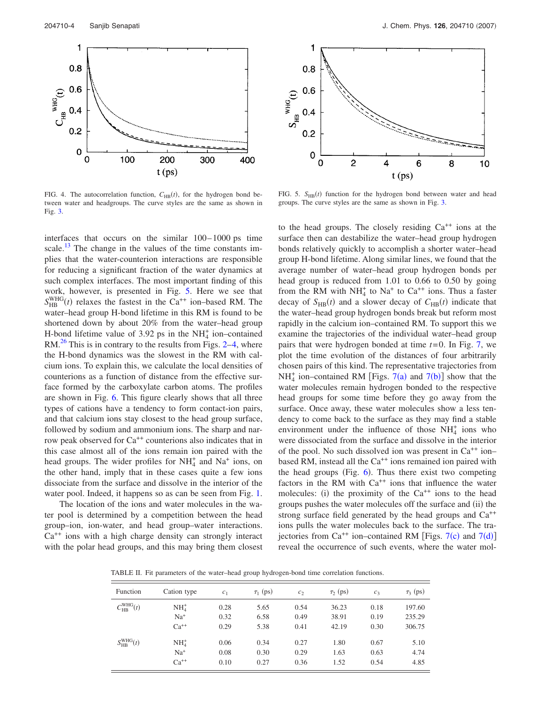

FIG. 4. The autocorrelation function,  $C_{HB}(t)$ , for the hydrogen bond between water and headgroups. The curve styles are the same as shown in Fig. 3.

interfaces that occurs on the similar 100– 1000 ps time scale.<sup>13</sup> The change in the values of the time constants implies that the water-counterion interactions are responsible for reducing a significant fraction of the water dynamics at such complex interfaces. The most important finding of this work, however, is presented in Fig. 5. Here we see that  $S_{HB}^{WHG}(t)$  relaxes the fastest in the Ca<sup>++</sup> ion–based RM. The water–head group H-bond lifetime in this RM is found to be shortened down by about 20% from the water–head group H-bond lifetime value of 3.92 ps in the NH $<sup>+</sup><sub>4</sub>$  ion–contained</sup>  $RM<sup>26</sup>$  This is in contrary to the results from Figs. 2–4, where the H-bond dynamics was the slowest in the RM with calcium ions. To explain this, we calculate the local densities of counterions as a function of distance from the effective surface formed by the carboxylate carbon atoms. The profiles are shown in Fig. 6. This figure clearly shows that all three types of cations have a tendency to form contact-ion pairs, and that calcium ions stay closest to the head group surface, followed by sodium and ammonium ions. The sharp and narrow peak observed for Ca<sup>++</sup> counterions also indicates that in this case almost all of the ions remain ion paired with the head groups. The wider profiles for  $NH<sub>4</sub><sup>+</sup>$  and Na<sup>+</sup> ions, on the other hand, imply that in these cases quite a few ions dissociate from the surface and dissolve in the interior of the water pool. Indeed, it happens so as can be seen from Fig. 1.

The location of the ions and water molecules in the water pool is determined by a competition between the head group–ion, ion-water, and head group–water interactions.  $Ca<sup>++</sup>$  ions with a high charge density can strongly interact with the polar head groups, and this may bring them closest



FIG. 5.  $S_{HB}(t)$  function for the hydrogen bond between water and head groups. The curve styles are the same as shown in Fig. 3.

to the head groups. The closely residing Ca++ ions at the surface then can destabilize the water–head group hydrogen bonds relatively quickly to accomplish a shorter water–head group H-bond lifetime. Along similar lines, we found that the average number of water–head group hydrogen bonds per head group is reduced from 1.01 to 0.66 to 0.50 by going from the RM with  $NH_4^+$  to Na<sup>+</sup> to Ca<sup>++</sup> ions. Thus a faster decay of  $S_{HB}(t)$  and a slower decay of  $C_{HB}(t)$  indicate that the water–head group hydrogen bonds break but reform most rapidly in the calcium ion–contained RM. To support this we examine the trajectories of the individual water–head group pairs that were hydrogen bonded at time *t*= 0. In Fig. 7, we plot the time evolution of the distances of four arbitrarily chosen pairs of this kind. The representative trajectories from  $NH<sub>4</sub><sup>+</sup>$  ion–contained RM [Figs. 7(a) and 7(b)] show that the water molecules remain hydrogen bonded to the respective head groups for some time before they go away from the surface. Once away, these water molecules show a less tendency to come back to the surface as they may find a stable environment under the influence of those  $NH<sub>4</sub><sup>+</sup>$  ions who were dissociated from the surface and dissolve in the interior of the pool. No such dissolved ion was present in  $Ca^{++}$  ion– based RM, instead all the  $Ca^{++}$  ions remained ion paired with the head groups (Fig.  $6$ ). Thus there exist two competing factors in the RM with  $Ca^{++}$  ions that influence the water molecules: (i) the proximity of the  $Ca^{++}$  ions to the head groups pushes the water molecules off the surface and (ii) the strong surface field generated by the head groups and  $Ca^{++}$ ions pulls the water molecules back to the surface. The trajectories from  $Ca^{++}$  ion–contained RM [Figs. 7(c) and 7(d)] reveal the occurrence of such events, where the water mol-

TABLE II. Fit parameters of the water–head group hydrogen-bond time correlation functions.

| Function                        | Cation type | c <sub>1</sub> | $\tau_1$ (ps) | c <sub>2</sub> | $\tau$ <sub>2</sub> (ps) | c <sub>3</sub> | $\tau_3$ (ps) |
|---------------------------------|-------------|----------------|---------------|----------------|--------------------------|----------------|---------------|
| $C_{\text{HB}}^{\text{WHG}}(t)$ | $NH4+$      | 0.28           | 5.65          | 0.54           | 36.23                    | 0.18           | 197.60        |
|                                 | $Na+$       | 0.32           | 6.58          | 0.49           | 38.91                    | 0.19           | 235.29        |
|                                 | $Ca^{++}$   | 0.29           | 5.38          | 0.41           | 42.19                    | 0.30           | 306.75        |
| $S_{\text{HB}}^{\text{WHG}}(t)$ | $NH4+$      | 0.06           | 0.34          | 0.27           | 1.80                     | 0.67           | 5.10          |
|                                 | $Na+$       | 0.08           | 0.30          | 0.29           | 1.63                     | 0.63           | 4.74          |
|                                 | $Ca^{++}$   | 0.10           | 0.27          | 0.36           | 1.52                     | 0.54           | 4.85          |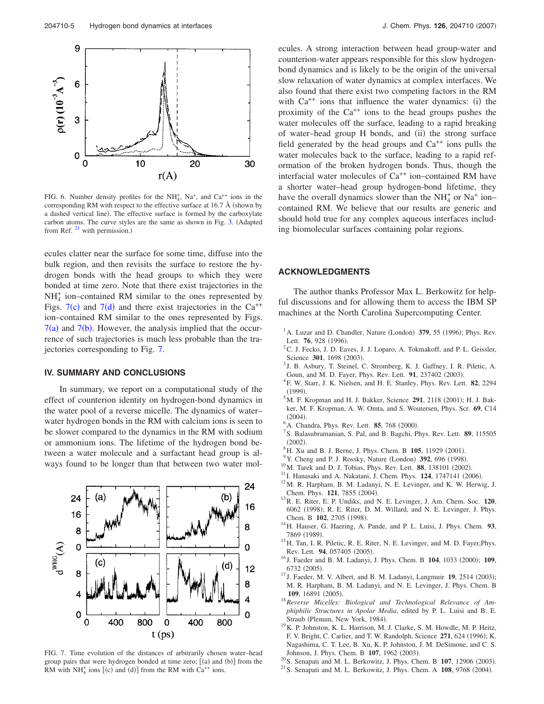

FIG. 6. Number density profiles for the NH<sup>+</sup><sub>4</sub>, Na<sup>+</sup>, and Ca<sup>++</sup> ions in the corresponding RM with respect to the effective surface at  $16.7 \text{ Å}$  (shown by a dashed vertical line). The effective surface is formed by the carboxylate carbon atoms. The curve styles are the same as shown in Fig. 3. Adapted from Ref.  $^{21}$  with permission.)

ecules clatter near the surface for some time, diffuse into the bulk region, and then revisits the surface to restore the hydrogen bonds with the head groups to which they were bonded at time zero. Note that there exist trajectories in the  $NH<sub>4</sub><sup>+</sup>$  ion–contained RM similar to the ones represented by Figs.  $7(c)$  and  $7(d)$  and there exist trajectories in the Ca<sup>++</sup> ion–contained RM similar to the ones represented by Figs.  $7(a)$  and  $7(b)$ . However, the analysis implied that the occurrence of such trajectories is much less probable than the trajectories corresponding to Fig. 7.

## **IV. SUMMARY AND CONCLUSIONS**

In summary, we report on a computational study of the effect of counterion identity on hydrogen-bond dynamics in the water pool of a reverse micelle. The dynamics of water– water hydrogen bonds in the RM with calcium ions is seen to be slower compared to the dynamics in the RM with sodium or ammonium ions. The lifetime of the hydrogen bond between a water molecule and a surfactant head group is always found to be longer than that between two water mol-



FIG. 7. Time evolution of the distances of arbitrarily chosen water–head group pairs that were hydrogen bonded at time zero;  $[(a)$  and  $(b)]$  from the RM with  $NH_4^+$  ions [(c) and (d)] from the RM with Ca<sup>++</sup> ions.

ecules. A strong interaction between head group-water and counterion-water appears responsible for this slow hydrogenbond dynamics and is likely to be the origin of the universal slow relaxation of water dynamics at complex interfaces. We also found that there exist two competing factors in the RM with  $Ca^{++}$  ions that influence the water dynamics: (i) the proximity of the  $Ca^{++}$  ions to the head groups pushes the water molecules off the surface, leading to a rapid breaking of water-head group H bonds, and (ii) the strong surface field generated by the head groups and  $Ca^{++}$  ions pulls the water molecules back to the surface, leading to a rapid reformation of the broken hydrogen bonds. Thus, though the interfacial water molecules of Ca<sup>++</sup> ion–contained RM have a shorter water–head group hydrogen-bond lifetime, they have the overall dynamics slower than the  $NH<sub>4</sub><sup>+</sup>$  or  $Na<sup>+</sup>$  ion– contained RM. We believe that our results are generic and should hold true for any complex aqueous interfaces including biomolecular surfaces containing polar regions.

### **ACKNOWLEDGMENTS**

The author thanks Professor Max L. Berkowitz for helpful discussions and for allowing them to access the IBM SP machines at the North Carolina Supercomputing Center.

- $<sup>1</sup>$  A. Luzar and D. Chandler, Nature (London) **379**, 55 (1996); Phys. Rev.</sup> Lett. **76**, 928 (1996).
- <sup>2</sup>C. J. Fecko, J. D. Eaves, J. J. Loparo, A. Tokmakoff, and P. L. Geissler, Science 301, 1698 (2003).
- <sup>3</sup> J. B. Asbury, T. Steinel, C. Stromberg, K. J. Gaffney, I. R. Piletic, A. Goun, and M. D. Fayer, Phys. Rev. Lett. 91, 237402 (2003).
- 4 F. W. Starr, J. K. Nielsen, and H. E. Stanley, Phys. Rev. Lett. **82**, 2294  $(1999).$
- ${}^5$ M. F. Kropman and H. J. Bakker, Science 291, 2118 (2001); H. J. Bakker, M. F. Kropman, A. W. Omta, and S. Woutersen, Phys. Scr. **69**, C14  $(2004).$
- <sup>6</sup> A. Chandra, Phys. Rev. Lett. **85**, 768 (2000).
- 7 S. Balasubramanian, S. Pal, and B. Bagchi, Phys. Rev. Lett. **89**, 115505  $(2002).$
- <sup>8</sup> H. Xu and B. J. Berne, J. Phys. Chem. B **105**, 11929 (2001).
- <sup>9</sup> Y. Cheng and P. J. Rossky, Nature (London) 392, 696 (1998).
- <sup>10</sup> M. Tarek and D. J. Tobias, Phys. Rev. Lett. **88**, 138101 (2002).
- $11$  I. Hanasaki and A. Nakatani, J. Chem. Phys.  $124$ ,  $1747141$  (2006).
- <sup>12</sup>M. R. Harpham, B. M. Ladanyi, N. E. Levinger, and K. W. Herwig, J. Chem. Phys. 121, 7855 (2004).
- <sup>13</sup>R. E. Riter, E. P. Undiks, and N. E. Levinger, J. Am. Chem. Soc. **120**, 6062 (1998); R. E. Riter, D. M. Willard, and N. E. Levinger, J. Phys. Chem. B 102, 2705 (1998).
- <sup>14</sup>H. Hauser, G. Haering, A. Pande, and P. L. Luisi, J. Phys. Chem. **93**, 7869 (1989).
- <sup>15</sup>H. Tan, I. R. Piletic, R. E. Riter, N. E. Levinger, and M. D. Fayer, Phys. Rev. Lett. 94, 057405 (2005).
- <sup>16</sup> J. Faeder and B. M. Ladanyi, J. Phys. Chem. B **104**, 1033 (2000); **109**, 6732 (2005).
- <sup>17</sup> J. Faeder, M. V. Albert, and B. M. Ladanyi, Langmuir **19**, 2514 (2003); M. R. Harpham, B. M. Ladanyi, and N. E. Levinger, J. Phys. Chem. B 109, 16891 (2005).
- <sup>18</sup>*Reverse Micelles: Biological and Technological Relevance of Amphiphilic Structures in Apolar Media*, edited by P. L. Luisi and B. E. Straub (Plenum, New York, 1984).
- <sup>19</sup>K. P. Johnston, K. L. Harrison, M. J. Clarke, S. M. Howdle, M. P. Heitz, F. V. Bright, C. Carlier, and T. W. Randolph, Science 271, 624 (1996); K. Nagashima, C. T. Lee, B. Xu, K. P. Johnston, J. M. DeSimone, and C. S. Johnson, J. Phys. Chem. B 107, 1962 (2003).
- <sup>20</sup> S. Senapati and M. L. Berkowitz, J. Phys. Chem. B **107**, 12906 (2003).
- $2^{1}$  S. Senapati and M. L. Berkowitz, J. Phys. Chem. A  $108$ , 9768 (2004).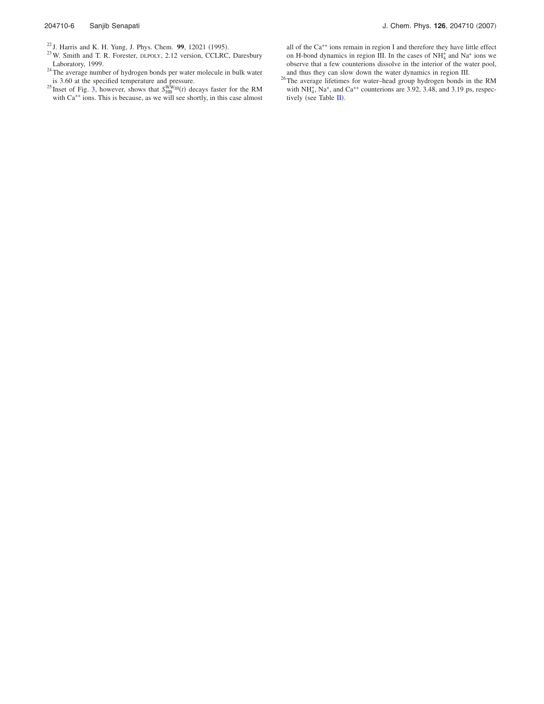- <sup>23</sup>W. Smith and T. R. Forester, DLPOLY, 2.12 version, CCLRC, Daresbury Laboratory, 1999.
- <sup>24</sup>The average number of hydrogen bonds per water molecule in bulk water
- is 3.60 at the specified temperature and pressure.<br><sup>25</sup> Inset of Fig. 3, however, shows that  $S_{HB}^{WW}(\tau)$  decays faster for the RM with Ca<sup>++</sup> ions. This is because, as we will see shortly, in this case almost

all of the Ca++ ions remain in region I and therefore they have little effect on H-bond dynamics in region III. In the cases of  $NH_4^+$  and  $Na^+$  ions we observe that a few counterions dissolve in the interior of the water pool, and thus they can slow down the water dynamics in region III.

<sup>26</sup>The average lifetimes for water–head group hydrogen bonds in the RM with  $NH_4^+$ ,  $Na^+$ , and  $Ca^{++}$  counterions are 3.92, 3.48, and 3.19 ps, respectively (see Table  $\mathbf{II}$ ).

<sup>&</sup>lt;sup>22</sup> J. Harris and K. H. Yung, J. Phys. Chem. **99**, 12021 (1995).